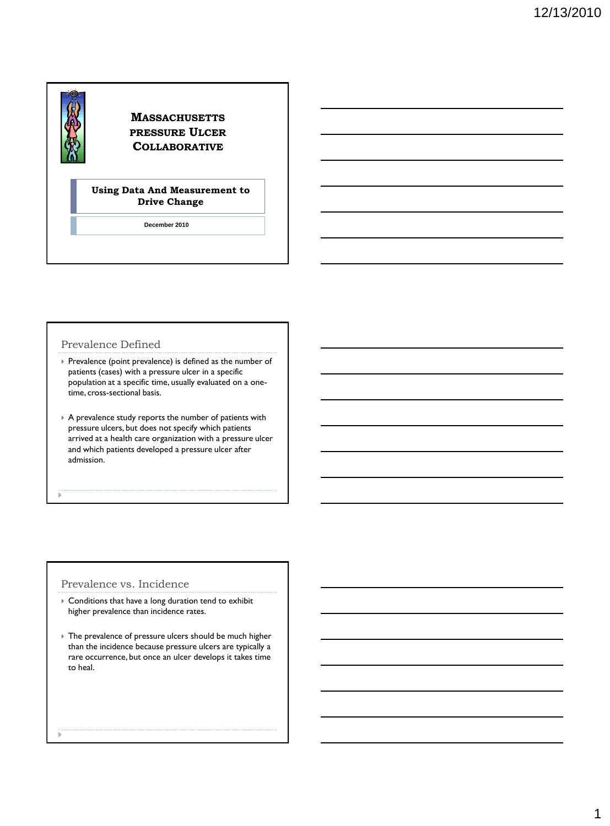# **MASSACHUSETTS PRESSURE ULCER COLLABORATIVE**

## **Using Data And Measurement to Drive Change**

**December 2010**

# Prevalence Defined

- Prevalence (point prevalence) is defined as the number of patients (cases) with a pressure ulcer in a specific population at a specific time, usually evaluated on a onetime, cross-sectional basis.
- A prevalence study reports the number of patients with pressure ulcers, but does not specify which patients arrived at a health care organization with a pressure ulcer and which patients developed a pressure ulcer after admission.

# Prevalence vs. Incidence

- Conditions that have a long duration tend to exhibit higher prevalence than incidence rates.
- The prevalence of pressure ulcers should be much higher than the incidence because pressure ulcers are typically a rare occurrence, but once an ulcer develops it takes time to heal.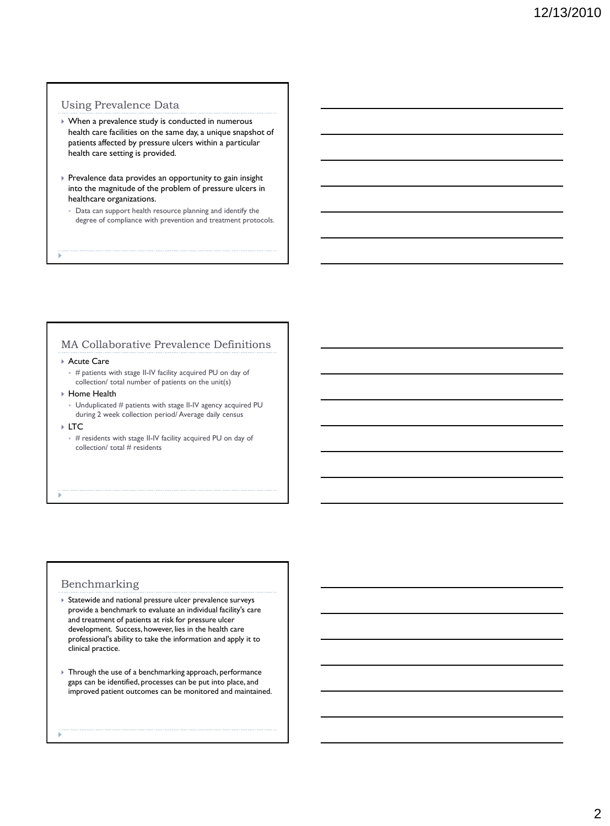# Using Prevalence Data

- When a prevalence study is conducted in numerous health care facilities on the same day, a unique snapshot of patients affected by pressure ulcers within a particular health care setting is provided.
- **Prevalence data provides an opportunity to gain insight** into the magnitude of the problem of pressure ulcers in healthcare organizations.
	- Data can support health resource planning and identify the degree of compliance with prevention and treatment protocols.

# MA Collaborative Prevalence Definitions

#### ▶ Acute Care

- $#$  patients with stage II-IV facility acquired PU on day of collection/ total number of patients on the unit(s)
- ▶ Home Health
- Unduplicated # patients with stage II-IV agency acquired PU during 2 week collection period/ Average daily census
- LTC
	- $*$  # residents with stage II-IV facility acquired PU on day of collection/ total # residents

## Benchmarking

- Statewide and national pressure ulcer prevalence surveys provide a benchmark to evaluate an individual facility's care and treatment of patients at risk for pressure ulcer development. Success, however, lies in the health care professional's ability to take the information and apply it to clinical practice.
- Through the use of a benchmarking approach, performance gaps can be identified, processes can be put into place, and improved patient outcomes can be monitored and maintained.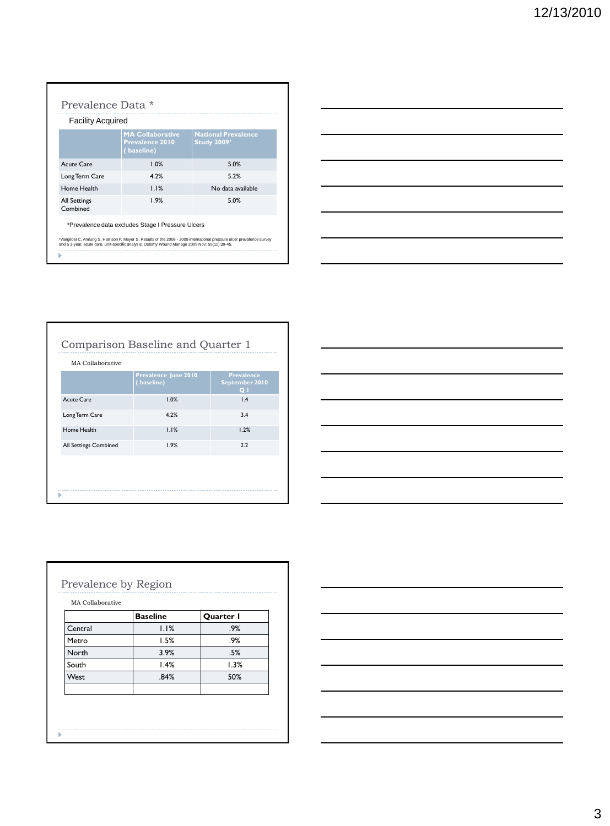| <b>Facility Acquired</b>        |                                                          |                                                 |
|---------------------------------|----------------------------------------------------------|-------------------------------------------------|
|                                 | <b>MA Collaborative</b><br>Prevalence 2010<br>(baseline) | <b>National Prevalence</b><br><b>Study 2009</b> |
| Acute Care                      | 1.0%                                                     | 5.0%                                            |
| Long Term Care                  | 4.2%                                                     | 5.2%                                            |
| Home Health                     | 1.1%                                                     | No data available                               |
| <b>All Settings</b><br>Combined | 1.9%                                                     | 5.0%                                            |

Ĩ.

|                                                                                                                      |  | $\overline{\phantom{a}}$ |
|----------------------------------------------------------------------------------------------------------------------|--|--------------------------|
| <u> 1980 - Johann Barn, amerikan besteman besteman besteman besteman besteman besteman besteman besteman bestema</u> |  | __                       |
|                                                                                                                      |  | __                       |
|                                                                                                                      |  |                          |

Comparison Baseline and Quarter 1

|                              | Prevalence June 2010<br>(baseline) | <b>Prevalence</b><br>September 2010<br>Q <sub>1</sub> |
|------------------------------|------------------------------------|-------------------------------------------------------|
| Acute Care                   | 1.0%                               | 1.4                                                   |
| Long Term Care               | 4.2%                               | 3.4                                                   |
| Home Health                  | 1.1%                               | 1.2%                                                  |
| <b>All Settings Combined</b> | 1.9%                               | 2.2                                                   |

Þ

|                          | <u> 1989 - Johann Barn, mars et al. 1989 - Anna ann an t-Anna ann an t-Anna ann an t-Anna ann an t-Anna ann an t-</u> |  |  |                                   |
|--------------------------|-----------------------------------------------------------------------------------------------------------------------|--|--|-----------------------------------|
|                          | <u> 1989 - Johann Barbara, martxa alemaniar argamento este alemaniar alemaniar alemaniar alemaniar alemaniar a</u>    |  |  | _____                             |
|                          |                                                                                                                       |  |  | ___                               |
| $\overline{\phantom{0}}$ |                                                                                                                       |  |  |                                   |
|                          |                                                                                                                       |  |  |                                   |
| __                       | the contract of the contract of the contract of the contract of the contract of the contract of                       |  |  | the control of the control of the |
|                          |                                                                                                                       |  |  |                                   |

|         | <b>Baseline</b> | Quarter I |
|---------|-----------------|-----------|
| Central | 1.1%            | .9%       |
| Metro   | 1.5%            | .9%       |
| North   | 3.9%            | .5%       |
| South   | 1.4%            | 1.3%      |
| West    | .84%            | 50%       |
|         |                 |           |

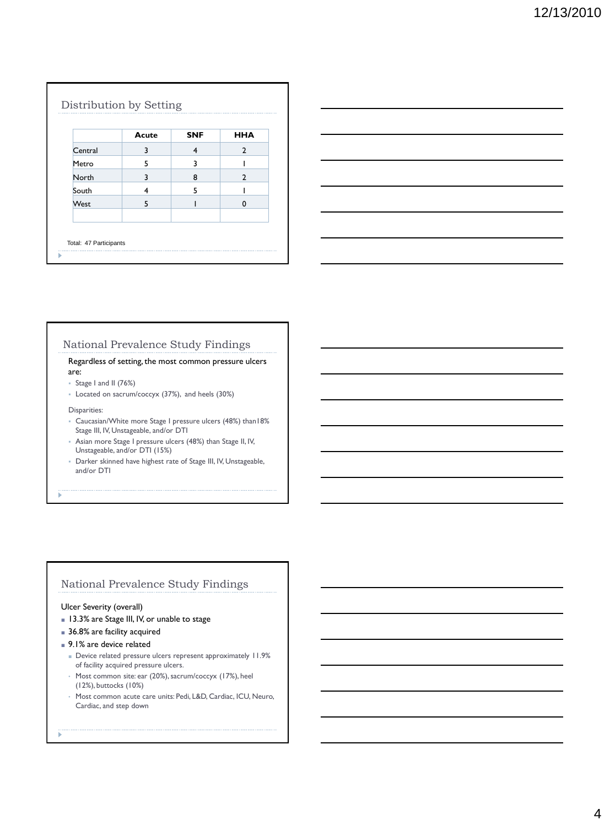|             | Acute | <b>SNF</b> | <b>HHA</b>     |
|-------------|-------|------------|----------------|
| Central     | 3     | 4          | $\mathcal{P}$  |
| Metro       | 5     | 3          |                |
| North       | 3     | 8          | $\overline{2}$ |
| South       | 4     | 5          |                |
| <b>West</b> | 5     |            | O              |



# National Prevalence Study Findings

Regardless of setting, the most common pressure ulcers are:

- Stage I and II (76%)
- Located on sacrum/coccyx (37%), and heels (30%)

#### Disparities:

- Caucasian/White more Stage I pressure ulcers (48%) than18% Stage III, IV, Unstageable, and/or DTI
- Asian more Stage I pressure ulcers (48%) than Stage II, IV, Unstageable, and/or DTI (15%)
- Darker skinned have highest rate of Stage III, IV, Unstageable, and/or DTI

# National Prevalence Study Findings

# Ulcer Severity (overall)

- 13.3% are Stage III, IV, or unable to stage
- 36.8% are facility acquired
- 9.1% are device related
	- Device related pressure ulcers represent approximately 11.9% of facility acquired pressure ulcers.
	- Most common site: ear (20%), sacrum/coccyx (17%), heel (12%), buttocks (10%)
	- Most common acute care units: Pedi, L&D, Cardiac, ICU, Neuro, Cardiac, and step down
- ś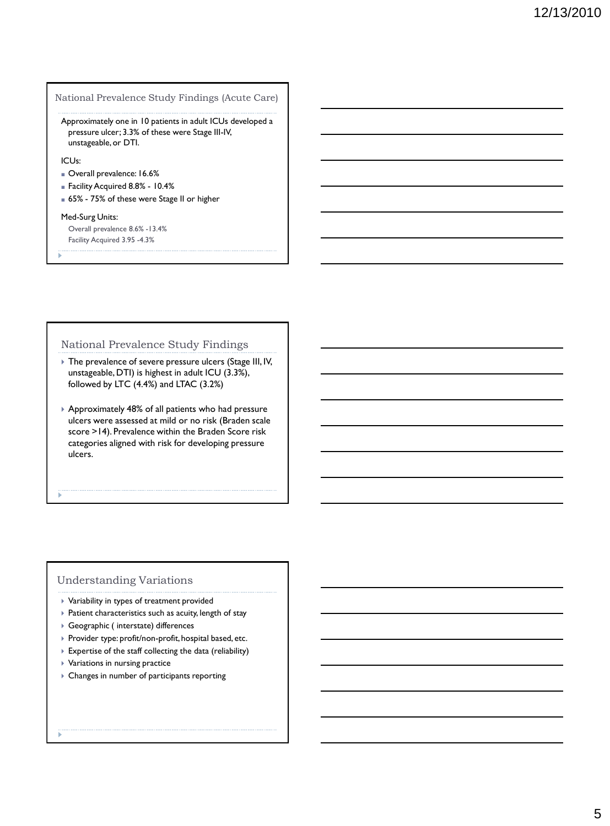# National Prevalence Study Findings (Acute Care)

Approximately one in 10 patients in adult ICUs developed a pressure ulcer; 3.3% of these were Stage III-IV, unstageable, or DTI.

# ICUs:

- Overall prevalence: 16.6%
- Facility Acquired 8.8% 10.4%
- 65% 75% of these were Stage II or higher

#### Med-Surg Units:

Overall prevalence 8.6% -13.4% Facility Acquired 3.95 -4.3%

# National Prevalence Study Findings

- The prevalence of severe pressure ulcers (Stage III, IV, unstageable, DTI) is highest in adult ICU (3.3%), followed by LTC (4.4%) and LTAC (3.2%)
- Approximately 48% of all patients who had pressure ulcers were assessed at mild or no risk (Braden scale score >14). Prevalence within the Braden Score risk categories aligned with risk for developing pressure ulcers.

# Understanding Variations

- Variability in types of treatment provided
- Patient characteristics such as acuity, length of stay
- Geographic ( interstate) differences
- ▶ Provider type: profit/non-profit, hospital based, etc.
- Expertise of the staff collecting the data (reliability)
- $\triangleright$  Variations in nursing practice
- Changes in number of participants reporting
-